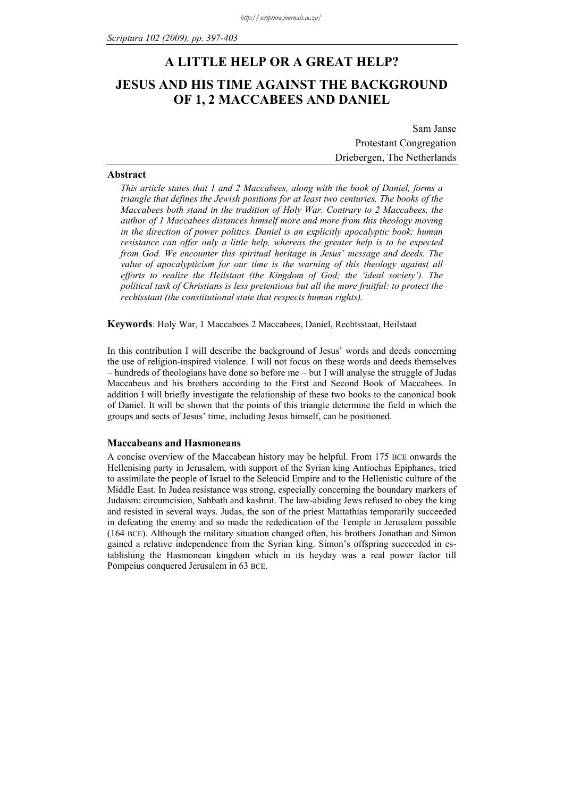# **A LITTLE HELP OR A GREAT HELP? JESUS AND HIS TIME AGAINST THE BACKGROUND OF 1, 2 MACCABEES AND DANIEL**

Sam Janse Protestant Congregation Driebergen, The Netherlands

### **Abstract**

*This article states that 1 and 2 Maccabees, along with the book of Daniel, forms a triangle that defines the Jewish positions for at least two centuries. The books of the Maccabees both stand in the tradition of Holy War. Contrary to 2 Maccabees, the author of 1 Maccabees distances himself more and more from this theology moving in the direction of power politics. Daniel is an explicitly apocalyptic book: human resistance can offer only a little help, whereas the greater help is to be expected from God. We encounter this spiritual heritage in Jesus' message and deeds. The value of apocalypticism for our time is the warning of this theology against all efforts to realize the Heilstaat (the Kingdom of God; the 'ideal society'). The political task of Christians is less pretentious but all the more fruitful: to protect the rechtsstaat (the constitutional state that respects human rights).* 

**Keywords**: Holy War, 1 Maccabees 2 Maccabees, Daniel, Rechtsstaat, Heilstaat

In this contribution I will describe the background of Jesus' words and deeds concerning the use of religion-inspired violence. I will not focus on these words and deeds themselves – hundreds of theologians have done so before me – but I will analyse the struggle of Judas Maccabeus and his brothers according to the First and Second Book of Maccabees. In addition I will briefly investigate the relationship of these two books to the canonical book of Daniel. It will be shown that the points of this triangle determine the field in which the groups and sects of Jesus' time, including Jesus himself, can be positioned.

### **Maccabeans and Hasmoneans**

A concise overview of the Maccabean history may be helpful. From 175 BCE onwards the Hellenising party in Jerusalem, with support of the Syrian king Antiochus Epiphanes, tried to assimilate the people of Israel to the Seleucid Empire and to the Hellenistic culture of the Middle East. In Judea resistance was strong, especially concerning the boundary markers of Judaism: circumcision, Sabbath and kashrut. The law-abiding Jews refused to obey the king and resisted in several ways. Judas, the son of the priest Mattathias temporarily succeeded in defeating the enemy and so made the rededication of the Temple in Jerusalem possible (164 BCE). Although the military situation changed often, his brothers Jonathan and Simon gained a relative independence from the Syrian king. Simon's offspring succeeded in establishing the Hasmonean kingdom which in its heyday was a real power factor till Pompeius conquered Jerusalem in 63 BCE.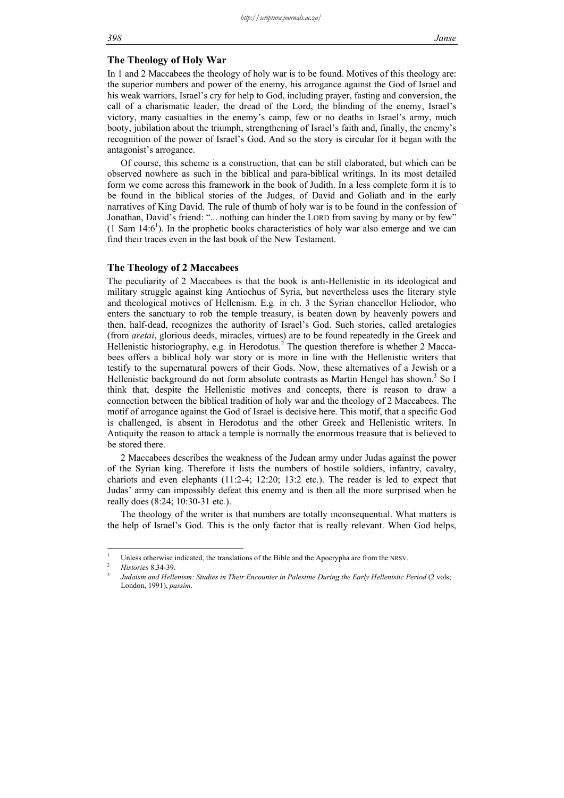# **The Theology of Holy War**

In 1 and 2 Maccabees the theology of holy war is to be found. Motives of this theology are: the superior numbers and power of the enemy, his arrogance against the God of Israel and his weak warriors, Israel's cry for help to God, including prayer, fasting and conversion, the call of a charismatic leader, the dread of the Lord, the blinding of the enemy, Israel's victory, many casualties in the enemy's camp, few or no deaths in Israel's army, much booty, jubilation about the triumph, strengthening of Israel's faith and, finally, the enemy's recognition of the power of Israel's God. And so the story is circular for it began with the antagonist's arrogance.

Of course, this scheme is a construction, that can be still elaborated, but which can be observed nowhere as such in the biblical and para-biblical writings. In its most detailed form we come across this framework in the book of Judith. In a less complete form it is to be found in the biblical stories of the Judges, of David and Goliath and in the early narratives of King David. The rule of thumb of holy war is to be found in the confession of Jonathan, David's friend: "... nothing can hinder the LORD from saving by many or by few"  $(1$  Sam  $14:6<sup>1</sup>)$ . In the prophetic books characteristics of holy war also emerge and we can find their traces even in the last book of the New Testament.

# **The Theology of 2 Maccabees**

The peculiarity of 2 Maccabees is that the book is anti-Hellenistic in its ideological and military struggle against king Antiochus of Syria, but nevertheless uses the literary style and theological motives of Hellenism. E.g*.* in ch. 3 the Syrian chancellor Heliodor, who enters the sanctuary to rob the temple treasury, is beaten down by heavenly powers and then, half-dead, recognizes the authority of Israel's God. Such stories, called aretalogies (from *aretai*, glorious deeds, miracles, virtues) are to be found repeatedly in the Greek and Hellenistic historiography, e.g. in Herodotus.<sup>2</sup> The question therefore is whether 2 Maccabees offers a biblical holy war story or is more in line with the Hellenistic writers that testify to the supernatural powers of their Gods. Now, these alternatives of a Jewish or a Hellenistic background do not form absolute contrasts as Martin Hengel has shown.<sup>3</sup> So I think that, despite the Hellenistic motives and concepts, there is reason to draw a connection between the biblical tradition of holy war and the theology of 2 Maccabees. The motif of arrogance against the God of Israel is decisive here. This motif, that a specific God is challenged, is absent in Herodotus and the other Greek and Hellenistic writers. In Antiquity the reason to attack a temple is normally the enormous treasure that is believed to be stored there.

2 Maccabees describes the weakness of the Judean army under Judas against the power of the Syrian king. Therefore it lists the numbers of hostile soldiers, infantry, cavalry, chariots and even elephants (11:2-4; 12:20; 13:2 etc.). The reader is led to expect that Judas' army can impossibly defeat this enemy and is then all the more surprised when he really does (8:24; 10:30-31 etc*.*).

The theology of the writer is that numbers are totally inconsequential. What matters is the help of Israel's God. This is the only factor that is really relevant. When God helps,

1

<sup>1</sup> Unless otherwise indicated, the translations of the Bible and the Apocrypha are from the NRSV.

*Histories* 8.34-39

*Judaism and Hellenism: Studies in Their Encounter in Palestine During the Early Hellenistic Period* (2 vols; London, 1991), *passim*.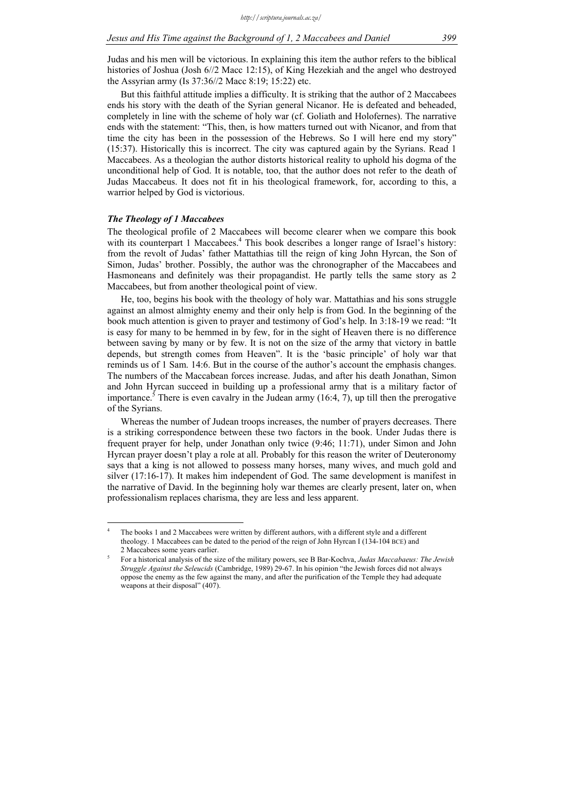Judas and his men will be victorious. In explaining this item the author refers to the biblical histories of Joshua (Josh 6//2 Macc 12:15), of King Hezekiah and the angel who destroyed the Assyrian army (Is 37:36//2 Macc 8:19; 15:22) etc.

But this faithful attitude implies a difficulty. It is striking that the author of 2 Maccabees ends his story with the death of the Syrian general Nicanor. He is defeated and beheaded, completely in line with the scheme of holy war (cf. Goliath and Holofernes). The narrative ends with the statement: "This, then, is how matters turned out with Nicanor, and from that time the city has been in the possession of the Hebrews. So I will here end my story" (15:37). Historically this is incorrect. The city was captured again by the Syrians. Read 1 Maccabees. As a theologian the author distorts historical reality to uphold his dogma of the unconditional help of God. It is notable, too, that the author does not refer to the death of Judas Maccabeus. It does not fit in his theological framework, for, according to this, a warrior helped by God is victorious.

### *The Theology of 1 Maccabees*

1

The theological profile of 2 Maccabees will become clearer when we compare this book with its counterpart 1 Maccabees.<sup>4</sup> This book describes a longer range of Israel's history: from the revolt of Judas' father Mattathias till the reign of king John Hyrcan, the Son of Simon, Judas' brother. Possibly, the author was the chronographer of the Maccabees and Hasmoneans and definitely was their propagandist. He partly tells the same story as 2 Maccabees, but from another theological point of view.

He, too, begins his book with the theology of holy war. Mattathias and his sons struggle against an almost almighty enemy and their only help is from God. In the beginning of the book much attention is given to prayer and testimony of God's help. In 3:18-19 we read: "It is easy for many to be hemmed in by few, for in the sight of Heaven there is no difference between saving by many or by few. It is not on the size of the army that victory in battle depends, but strength comes from Heaven". It is the 'basic principle' of holy war that reminds us of 1 Sam. 14:6. But in the course of the author's account the emphasis changes. The numbers of the Maccabean forces increase. Judas, and after his death Jonathan, Simon and John Hyrcan succeed in building up a professional army that is a military factor of importance.<sup>5</sup> There is even cavalry in the Judean army  $(16:4, 7)$ , up till then the prerogative of the Syrians.

Whereas the number of Judean troops increases, the number of prayers decreases. There is a striking correspondence between these two factors in the book. Under Judas there is frequent prayer for help, under Jonathan only twice (9:46; 11:71), under Simon and John Hyrcan prayer doesn't play a role at all. Probably for this reason the writer of Deuteronomy says that a king is not allowed to possess many horses, many wives, and much gold and silver (17:16-17). It makes him independent of God. The same development is manifest in the narrative of David. In the beginning holy war themes are clearly present, later on, when professionalism replaces charisma, they are less and less apparent.

<sup>4</sup> The books 1 and 2 Maccabees were written by different authors, with a different style and a different theology. 1 Maccabees can be dated to the period of the reign of John Hyrcan I (134-104 BCE) and 2 Maccabees some years earlier.

For a historical analysis of the size of the military powers, see B Bar-Kochva, *Judas Maccabaeus: The Jewish Struggle Against the Seleucids* (Cambridge, 1989) 29-67. In his opinion "the Jewish forces did not always oppose the enemy as the few against the many, and after the purification of the Temple they had adequate weapons at their disposal" (407).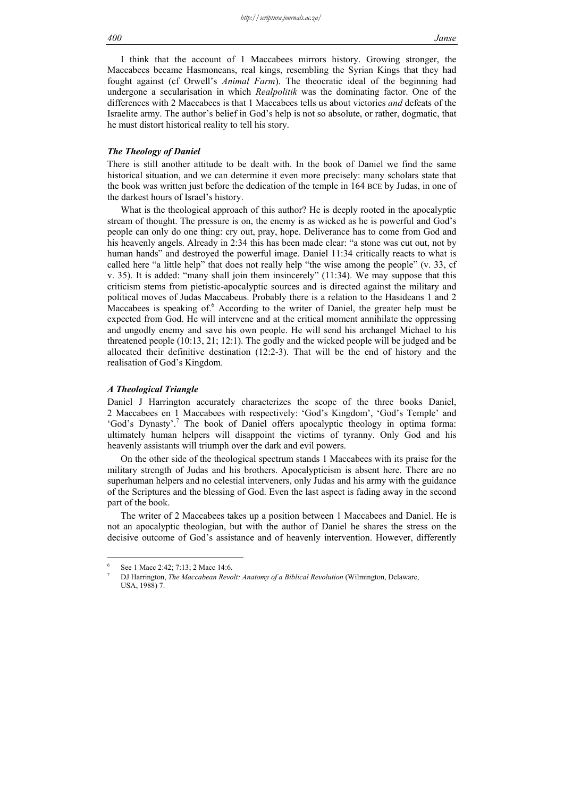I think that the account of 1 Maccabees mirrors history. Growing stronger, the Maccabees became Hasmoneans, real kings, resembling the Syrian Kings that they had fought against (cf Orwell's *Animal Farm*). The theocratic ideal of the beginning had undergone a secularisation in which *Realpolitik* was the dominating factor. One of the differences with 2 Maccabees is that 1 Maccabees tells us about victories *and* defeats of the Israelite army. The author's belief in God's help is not so absolute, or rather, dogmatic, that he must distort historical reality to tell his story.

# *The Theology of Daniel*

There is still another attitude to be dealt with. In the book of Daniel we find the same historical situation, and we can determine it even more precisely: many scholars state that the book was written just before the dedication of the temple in 164 BCE by Judas, in one of the darkest hours of Israel's history.

What is the theological approach of this author? He is deeply rooted in the apocalyptic stream of thought. The pressure is on, the enemy is as wicked as he is powerful and God's people can only do one thing: cry out, pray, hope. Deliverance has to come from God and his heavenly angels. Already in 2:34 this has been made clear: "a stone was cut out, not by human hands" and destroyed the powerful image. Daniel 11:34 critically reacts to what is called here "a little help" that does not really help "the wise among the people" (v. 33, cf v. 35). It is added: "many shall join them insincerely" (11:34). We may suppose that this criticism stems from pietistic-apocalyptic sources and is directed against the military and political moves of Judas Maccabeus. Probably there is a relation to the Hasideans 1 and 2 Maccabees is speaking of.<sup>6</sup> According to the writer of Daniel, the greater help must be expected from God. He will intervene and at the critical moment annihilate the oppressing and ungodly enemy and save his own people. He will send his archangel Michael to his threatened people (10:13, 21; 12:1). The godly and the wicked people will be judged and be allocated their definitive destination (12:2-3). That will be the end of history and the realisation of God's Kingdom.

### *A Theological Triangle*

Daniel J Harrington accurately characterizes the scope of the three books Daniel, 2 Maccabees en 1 Maccabees with respectively: 'God's Kingdom', 'God's Temple' and 'God's Dynasty'.<sup>7</sup> The book of Daniel offers apocalyptic theology in optima forma: ultimately human helpers will disappoint the victims of tyranny. Only God and his heavenly assistants will triumph over the dark and evil powers.

On the other side of the theological spectrum stands 1 Maccabees with its praise for the military strength of Judas and his brothers. Apocalypticism is absent here. There are no superhuman helpers and no celestial interveners, only Judas and his army with the guidance of the Scriptures and the blessing of God. Even the last aspect is fading away in the second part of the book.

The writer of 2 Maccabees takes up a position between 1 Maccabees and Daniel. He is not an apocalyptic theologian, but with the author of Daniel he shares the stress on the decisive outcome of God's assistance and of heavenly intervention. However, differently

 $\frac{1}{6}$ See 1 Macc 2:42; 7:13; 2 Macc 14:6.

<sup>7</sup> DJ Harrington, *The Maccabean Revolt: Anatomy of a Biblical Revolution* (Wilmington, Delaware, USA, 1988) 7.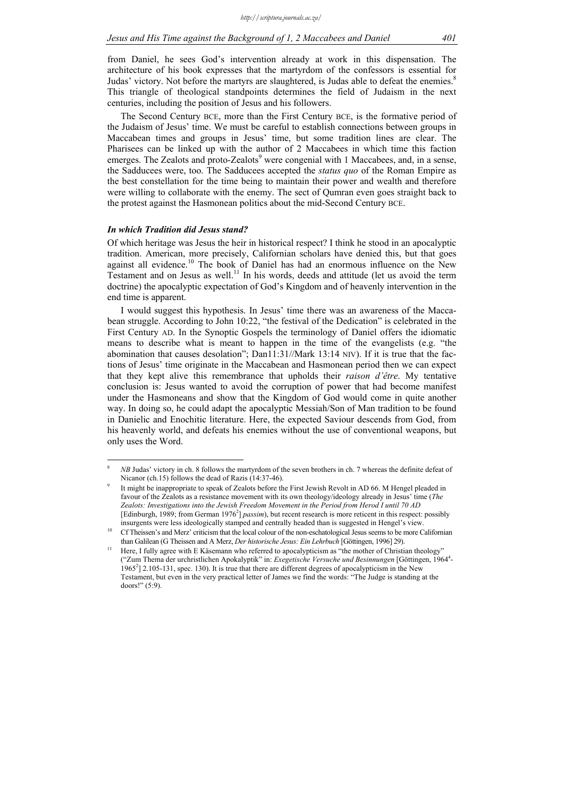from Daniel, he sees God's intervention already at work in this dispensation. The architecture of his book expresses that the martyrdom of the confessors is essential for Judas' victory. Not before the martyrs are slaughtered, is Judas able to defeat the enemies.<sup>8</sup> This triangle of theological standpoints determines the field of Judaism in the next centuries, including the position of Jesus and his followers.

The Second Century BCE, more than the First Century BCE, is the formative period of the Judaism of Jesus' time. We must be careful to establish connections between groups in Maccabean times and groups in Jesus' time, but some tradition lines are clear. The Pharisees can be linked up with the author of 2 Maccabees in which time this faction emerges. The Zealots and proto-Zealots<sup>9</sup> were congenial with 1 Maccabees, and, in a sense, the Sadducees were, too. The Sadducees accepted the *status quo* of the Roman Empire as the best constellation for the time being to maintain their power and wealth and therefore were willing to collaborate with the enemy. The sect of Qumran even goes straight back to the protest against the Hasmonean politics about the mid-Second Century BCE.

### *In which Tradition did Jesus stand?*

1

Of which heritage was Jesus the heir in historical respect? I think he stood in an apocalyptic tradition. American, more precisely, Californian scholars have denied this, but that goes against all evidence.<sup>10</sup> The book of Daniel has had an enormous influence on the New Testament and on Jesus as well.<sup>11</sup> In his words, deeds and attitude (let us avoid the term doctrine) the apocalyptic expectation of God's Kingdom and of heavenly intervention in the end time is apparent.

I would suggest this hypothesis. In Jesus' time there was an awareness of the Maccabean struggle. According to John 10:22, "the festival of the Dedication" is celebrated in the First Century AD. In the Synoptic Gospels the terminology of Daniel offers the idiomatic means to describe what is meant to happen in the time of the evangelists (e.g. "the abomination that causes desolation"; Dan11:31//Mark 13:14 NIV). If it is true that the factions of Jesus' time originate in the Maccabean and Hasmonean period then we can expect that they kept alive this remembrance that upholds their *raison d'être*. My tentative conclusion is: Jesus wanted to avoid the corruption of power that had become manifest under the Hasmoneans and show that the Kingdom of God would come in quite another way. In doing so, he could adapt the apocalyptic Messiah/Son of Man tradition to be found in Danielic and Enochitic literature. Here, the expected Saviour descends from God, from his heavenly world, and defeats his enemies without the use of conventional weapons, but only uses the Word.

<sup>8</sup>  *NB* Judas' victory in ch. 8 follows the martyrdom of the seven brothers in ch. 7 whereas the definite defeat of Nicanor (ch.15) follows the dead of Razis  $(14:37-46)$ .

It might be inappropriate to speak of Zealots before the First Jewish Revolt in AD 66. M Hengel pleaded in favour of the Zealots as a resistance movement with its own theology/ideology already in Jesus' time (*The Zealots: Investigations into the Jewish Freedom Movement in the Period from Herod I until 70 AD* [Edinburgh, 1989; from German 1976<sup>2</sup>] *passim*), but recent research is more reticent in this respect: possibly

insurgents were less ideologically stamped and centrally headed than is suggested in Hengel's view.<br>10 Cf Theissen's and Merz' criticism that the local colour of the non-eschatological Jesus seems to be more Californian

than Galilean (G Theissen and A Merz, *Der historische Jesus: Ein Lehrbuch* [Göttingen, 1996] 29).<br>Here, I fully agree with E Käsemann who referred to apocalypticism as "the mother of Christian theology" ("Zum Thema der urchristlichen Apokalyptik" in: *Exegetische Versuche und Besinnungen* [Göttingen, 19644 - 1965<sup>2</sup> 2.105-131, spec. 130). It is true that there are different degrees of apocalypticism in the New Testament, but even in the very practical letter of James we find the words: "The Judge is standing at the doors!" (5:9).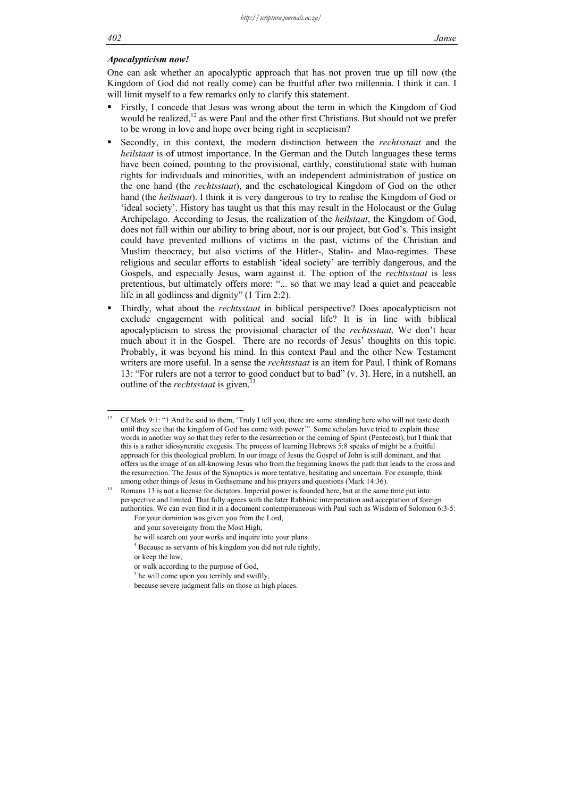# *Apocalypticism now!*

One can ask whether an apocalyptic approach that has not proven true up till now (the Kingdom of God did not really come) can be fruitful after two millennia. I think it can. I will limit myself to a few remarks only to clarify this statement.

- Firstly, I concede that Jesus was wrong about the term in which the Kingdom of God would be realized, $12$  as were Paul and the other first Christians. But should not we prefer to be wrong in love and hope over being right in scepticism?
- Secondly, in this context, the modern distinction between the *rechtsstaat* and the *heilstaat* is of utmost importance. In the German and the Dutch languages these terms have been coined, pointing to the provisional, earthly, constitutional state with human rights for individuals and minorities, with an independent administration of justice on the one hand (the *rechtsstaat*), and the eschatological Kingdom of God on the other hand (the *heilstaat*). I think it is very dangerous to try to realise the Kingdom of God or 'ideal society'. History has taught us that this may result in the Holocaust or the Gulag Archipelago. According to Jesus, the realization of the *heilstaat*, the Kingdom of God, does not fall within our ability to bring about, nor is our project, but God's. This insight could have prevented millions of victims in the past, victims of the Christian and Muslim theocracy, but also victims of the Hitler-, Stalin- and Mao-regimes. These religious and secular efforts to establish 'ideal society' are terribly dangerous, and the Gospels, and especially Jesus, warn against it. The option of the *rechtsstaat* is less pretentious, but ultimately offers more: "... so that we may lead a quiet and peaceable life in all godliness and dignity" (1 Tim 2:2).
- Thirdly, what about the *rechtsstaat* in biblical perspective? Does apocalypticism not exclude engagement with political and social life? It is in line with biblical apocalypticism to stress the provisional character of the *rechtsstaat*. We don't hear much about it in the Gospel. There are no records of Jesus' thoughts on this topic. Probably, it was beyond his mind. In this context Paul and the other New Testament writers are more useful. In a sense the *rechtsstaat* is an item for Paul. I think of Romans 13: "For rulers are not a terror to good conduct but to bad" (v. 3). Here, in a nutshell, an outline of the *rechtsstaat* is given.

because severe judgment falls on those in high places.

 $12$ 12 Cf Mark 9:1: "1 And he said to them, 'Truly I tell you, there are some standing here who will not taste death until they see that the kingdom of God has come with power'". Some scholars have tried to explain these words in another way so that they refer to the resurrection or the coming of Spirit (Pentecost), but I think that this is a rather idiosyncratic exegesis. The process of learning Hebrews 5:8 speaks of might be a fruitful approach for this theological problem. In our image of Jesus the Gospel of John is still dominant, and that offers us the image of an all-knowing Jesus who from the beginning knows the path that leads to the cross and the resurrection. The Jesus of the Synoptics is more tentative, hesitating and uncertain. For example, think among other things of Jesus in Gethsemane and his prayers and questions (Mark 14:36).<br><sup>13</sup> Romans 13 is not a license for dictators. Imperial power is founded here, but at the same time put into

perspective and limited. That fully agrees with the later Rabbinic interpretation and acceptation of foreign authorities. We can even find it in a document contemporaneous with Paul such as Wisdom of Solomon 6:3-5:

For your dominion was given you from the Lord, and your sovereignty from the Most High;

he will search out your works and inquire into your plans.

 <sup>4</sup> Because as servants of his kingdom you did not rule rightly, or keep the law,

or walk according to the purpose of God,

<sup>&</sup>lt;sup>5</sup> he will come upon you terribly and swiftly,